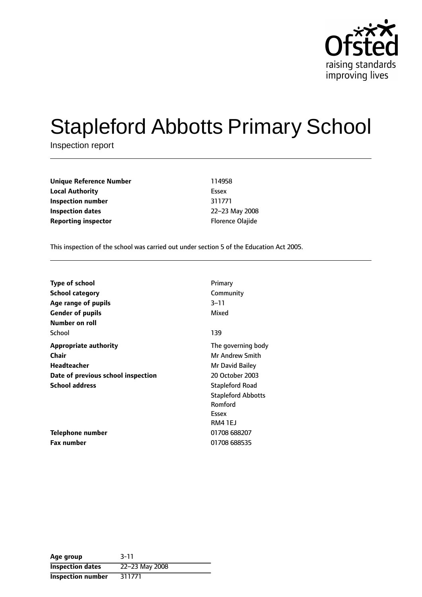

# Stapleford Abbotts Primary School

Inspection report

**Unique Reference Number** 114958 **Local Authority** Essex **Inspection number** 311771 **Inspection dates** 22-23 May 2008 **Reporting inspector Example 20 and The Properties Constants Properties Area Florence Olajide** 

This inspection of the school was carried out under section 5 of the Education Act 2005.

| <b>Type of school</b>              | Primary                   |
|------------------------------------|---------------------------|
| <b>School category</b>             | Community                 |
| Age range of pupils                | 3–11                      |
| <b>Gender of pupils</b>            | Mixed                     |
| Number on roll                     |                           |
| School                             | 139                       |
| <b>Appropriate authority</b>       | The governing body        |
| <b>Chair</b>                       | <b>Mr Andrew Smith</b>    |
| <b>Headteacher</b>                 | Mr David Bailey           |
| Date of previous school inspection | 20 October 2003           |
| <b>School address</b>              | <b>Stapleford Road</b>    |
|                                    | <b>Stapleford Abbotts</b> |
|                                    | Romford                   |
|                                    | Essex                     |
|                                    | RM4 1EJ                   |
| Telephone number                   | 01708 688207              |
| <b>Fax number</b>                  | 01708 688535              |

| Age group                | $3 - 11$       |
|--------------------------|----------------|
| <b>Inspection dates</b>  | 22-23 May 2008 |
| <b>Inspection number</b> | 311771         |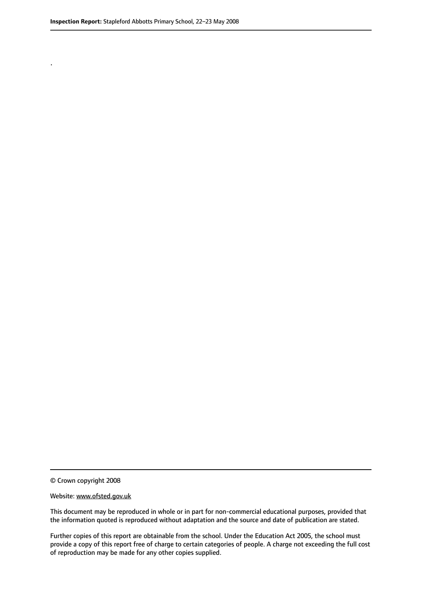.

© Crown copyright 2008

#### Website: www.ofsted.gov.uk

This document may be reproduced in whole or in part for non-commercial educational purposes, provided that the information quoted is reproduced without adaptation and the source and date of publication are stated.

Further copies of this report are obtainable from the school. Under the Education Act 2005, the school must provide a copy of this report free of charge to certain categories of people. A charge not exceeding the full cost of reproduction may be made for any other copies supplied.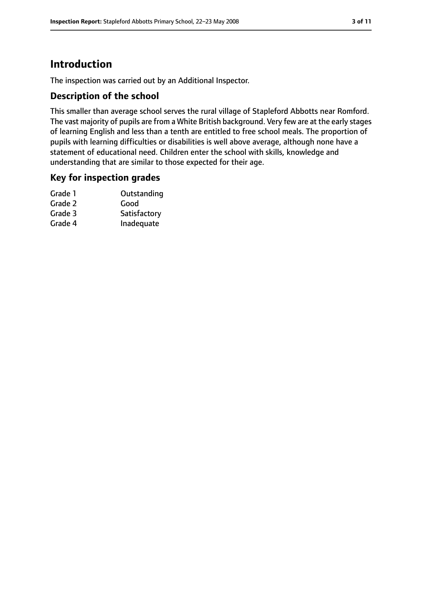# **Introduction**

The inspection was carried out by an Additional Inspector.

#### **Description of the school**

This smaller than average school serves the rural village of Stapleford Abbotts near Romford. The vast majority of pupils are from a White British background. Very few are at the early stages of learning English and less than a tenth are entitled to free school meals. The proportion of pupils with learning difficulties or disabilities is well above average, although none have a statement of educational need. Children enter the school with skills, knowledge and understanding that are similar to those expected for their age.

#### **Key for inspection grades**

| Grade 1 | Outstanding  |
|---------|--------------|
| Grade 2 | Good         |
| Grade 3 | Satisfactory |
| Grade 4 | Inadequate   |
|         |              |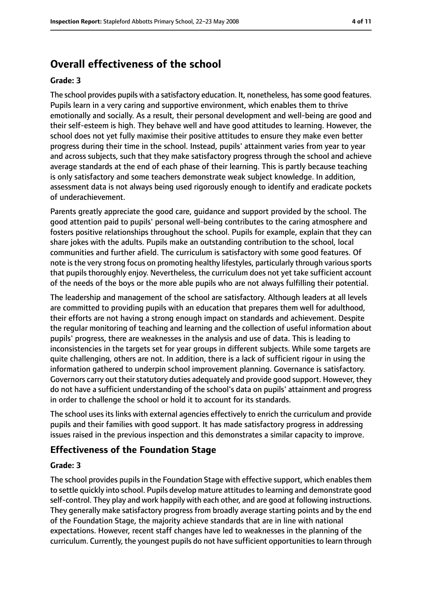# **Overall effectiveness of the school**

#### **Grade: 3**

The school provides pupils with a satisfactory education. It, nonetheless, hassome good features. Pupils learn in a very caring and supportive environment, which enables them to thrive emotionally and socially. As a result, their personal development and well-being are good and their self-esteem is high. They behave well and have good attitudes to learning. However, the school does not yet fully maximise their positive attitudes to ensure they make even better progress during their time in the school. Instead, pupils' attainment varies from year to year and across subjects, such that they make satisfactory progress through the school and achieve average standards at the end of each phase of their learning. This is partly because teaching is only satisfactory and some teachers demonstrate weak subject knowledge. In addition, assessment data is not always being used rigorously enough to identify and eradicate pockets of underachievement.

Parents greatly appreciate the good care, guidance and support provided by the school. The good attention paid to pupils' personal well-being contributes to the caring atmosphere and fosters positive relationships throughout the school. Pupils for example, explain that they can share jokes with the adults. Pupils make an outstanding contribution to the school, local communities and further afield. The curriculum is satisfactory with some good features. Of note isthe very strong focus on promoting healthy lifestyles, particularly through various sports that pupils thoroughly enjoy. Nevertheless, the curriculum does not yet take sufficient account of the needs of the boys or the more able pupils who are not always fulfilling their potential.

The leadership and management of the school are satisfactory. Although leaders at all levels are committed to providing pupils with an education that prepares them well for adulthood, their efforts are not having a strong enough impact on standards and achievement. Despite the regular monitoring of teaching and learning and the collection of useful information about pupils' progress, there are weaknesses in the analysis and use of data. This is leading to inconsistencies in the targets set for year groups in different subjects. While some targets are quite challenging, others are not. In addition, there is a lack of sufficient rigour in using the information gathered to underpin school improvement planning. Governance is satisfactory. Governors carry out their statutory duties adequately and provide good support. However, they do not have a sufficient understanding of the school's data on pupils' attainment and progress in order to challenge the school or hold it to account for its standards.

The school uses its links with external agencies effectively to enrich the curriculum and provide pupils and their families with good support. It has made satisfactory progress in addressing issues raised in the previous inspection and this demonstrates a similar capacity to improve.

#### **Effectiveness of the Foundation Stage**

#### **Grade: 3**

The school provides pupils in the Foundation Stage with effective support, which enables them to settle quickly into school. Pupils develop mature attitudesto learning and demonstrate good self-control. They play and work happily with each other, and are good at following instructions. They generally make satisfactory progress from broadly average starting points and by the end of the Foundation Stage, the majority achieve standards that are in line with national expectations. However, recent staff changes have led to weaknesses in the planning of the curriculum. Currently, the youngest pupils do not have sufficient opportunities to learn through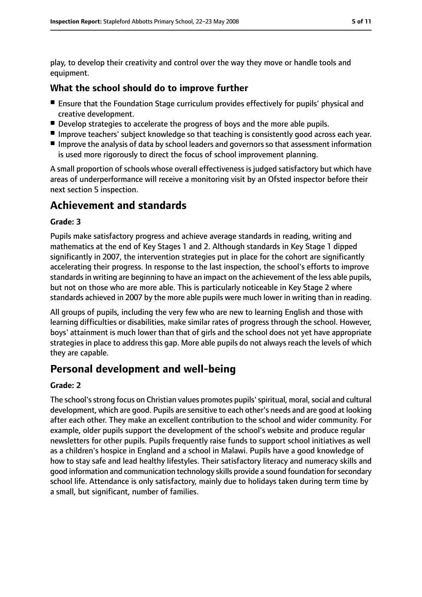play, to develop their creativity and control over the way they move or handle tools and equipment.

#### **What the school should do to improve further**

- Ensure that the Foundation Stage curriculum provides effectively for pupils' physical and creative development.
- Develop strategies to accelerate the progress of boys and the more able pupils.
- Improve teachers' subject knowledge so that teaching is consistently good across each year.
- Improve the analysis of data by school leaders and governors so that assessment information is used more rigorously to direct the focus of school improvement planning.

A small proportion of schools whose overall effectiveness is judged satisfactory but which have areas of underperformance will receive a monitoring visit by an Ofsted inspector before their next section 5 inspection.

# **Achievement and standards**

#### **Grade: 3**

Pupils make satisfactory progress and achieve average standards in reading, writing and mathematics at the end of Key Stages 1 and 2. Although standards in Key Stage 1 dipped significantly in 2007, the intervention strategies put in place for the cohort are significantly accelerating their progress. In response to the last inspection, the school's efforts to improve standards in writing are beginning to have an impact on the achievement of the less able pupils, but not on those who are more able. This is particularly noticeable in Key Stage 2 where standards achieved in 2007 by the more able pupils were much lower in writing than in reading.

All groups of pupils, including the very few who are new to learning English and those with learning difficulties or disabilities, make similar rates of progress through the school. However, boys' attainment is much lower than that of girls and the school does not yet have appropriate strategies in place to address this gap. More able pupils do not always reach the levels of which they are capable.

# **Personal development and well-being**

#### **Grade: 2**

The school'sstrong focus on Christian values promotes pupils'spiritual, moral,social and cultural development, which are good. Pupils are sensitive to each other's needs and are good at looking after each other. They make an excellent contribution to the school and wider community. For example, older pupils support the development of the school's website and produce regular newsletters for other pupils. Pupils frequently raise funds to support school initiatives as well as a children's hospice in England and a school in Malawi. Pupils have a good knowledge of how to stay safe and lead healthy lifestyles. Their satisfactory literacy and numeracy skills and good information and communication technology skills provide a sound foundation forsecondary school life. Attendance is only satisfactory, mainly due to holidays taken during term time by a small, but significant, number of families.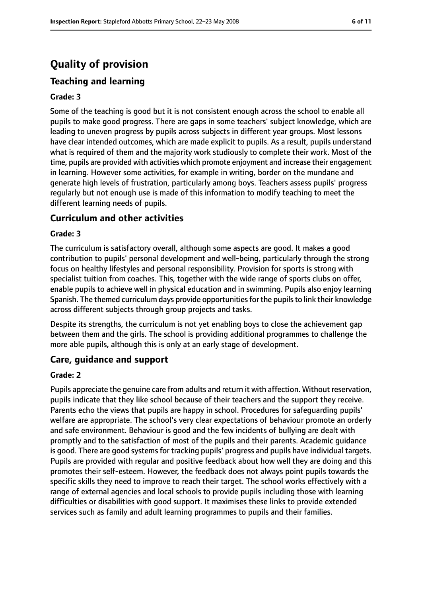# **Quality of provision**

### **Teaching and learning**

#### **Grade: 3**

Some of the teaching is good but it is not consistent enough across the school to enable all pupils to make good progress. There are gaps in some teachers' subject knowledge, which are leading to uneven progress by pupils across subjects in different year groups. Most lessons have clear intended outcomes, which are made explicit to pupils. As a result, pupils understand what is required of them and the majority work studiously to complete their work. Most of the time, pupils are provided with activities which promote enjoyment and increase their engagement in learning. However some activities, for example in writing, border on the mundane and generate high levels of frustration, particularly among boys. Teachers assess pupils' progress regularly but not enough use is made of this information to modify teaching to meet the different learning needs of pupils.

#### **Curriculum and other activities**

#### **Grade: 3**

The curriculum is satisfactory overall, although some aspects are good. It makes a good contribution to pupils' personal development and well-being, particularly through the strong focus on healthy lifestyles and personal responsibility. Provision for sports is strong with specialist tuition from coaches. This, together with the wide range of sports clubs on offer, enable pupils to achieve well in physical education and in swimming. Pupils also enjoy learning Spanish. The themed curriculum days provide opportunities for the pupils to link their knowledge across different subjects through group projects and tasks.

Despite its strengths, the curriculum is not yet enabling boys to close the achievement gap between them and the girls. The school is providing additional programmes to challenge the more able pupils, although this is only at an early stage of development.

#### **Care, guidance and support**

#### **Grade: 2**

Pupils appreciate the genuine care from adults and return it with affection. Without reservation, pupils indicate that they like school because of their teachers and the support they receive. Parents echo the views that pupils are happy in school. Procedures for safeguarding pupils' welfare are appropriate. The school's very clear expectations of behaviour promote an orderly and safe environment. Behaviour is good and the few incidents of bullying are dealt with promptly and to the satisfaction of most of the pupils and their parents. Academic guidance is good. There are good systems for tracking pupils' progress and pupils have individual targets. Pupils are provided with regular and positive feedback about how well they are doing and this promotes their self-esteem. However, the feedback does not always point pupils towards the specific skills they need to improve to reach their target. The school works effectively with a range of external agencies and local schools to provide pupils including those with learning difficulties or disabilities with good support. It maximises these links to provide extended services such as family and adult learning programmes to pupils and their families.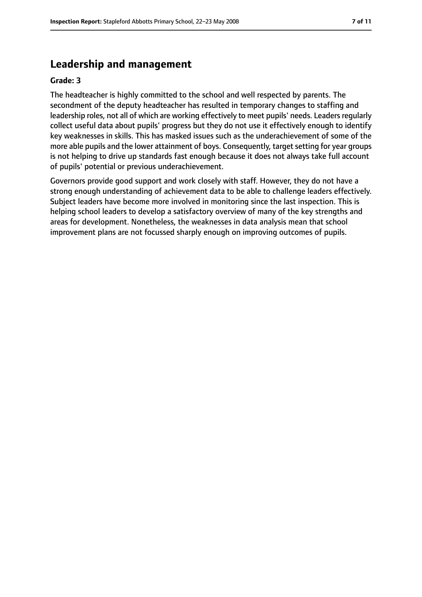# **Leadership and management**

#### **Grade: 3**

The headteacher is highly committed to the school and well respected by parents. The secondment of the deputy headteacher has resulted in temporary changes to staffing and leadership roles, not all of which are working effectively to meet pupils' needs. Leaders regularly collect useful data about pupils' progress but they do not use it effectively enough to identify key weaknesses in skills. This has masked issues such as the underachievement of some of the more able pupils and the lower attainment of boys. Consequently, target setting for year groups is not helping to drive up standards fast enough because it does not always take full account of pupils' potential or previous underachievement.

Governors provide good support and work closely with staff. However, they do not have a strong enough understanding of achievement data to be able to challenge leaders effectively. Subject leaders have become more involved in monitoring since the last inspection. This is helping school leaders to develop a satisfactory overview of many of the key strengths and areas for development. Nonetheless, the weaknesses in data analysis mean that school improvement plans are not focussed sharply enough on improving outcomes of pupils.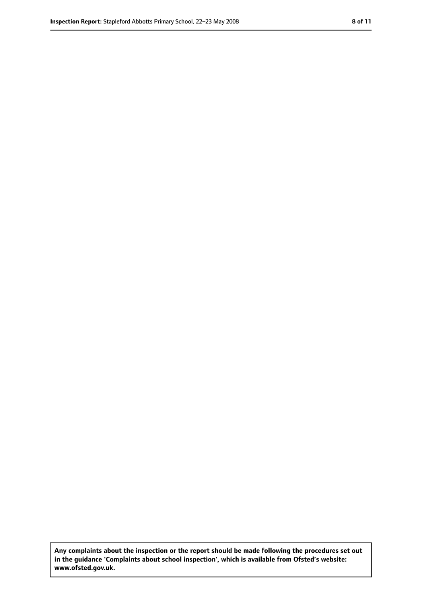**Any complaints about the inspection or the report should be made following the procedures set out in the guidance 'Complaints about school inspection', which is available from Ofsted's website: www.ofsted.gov.uk.**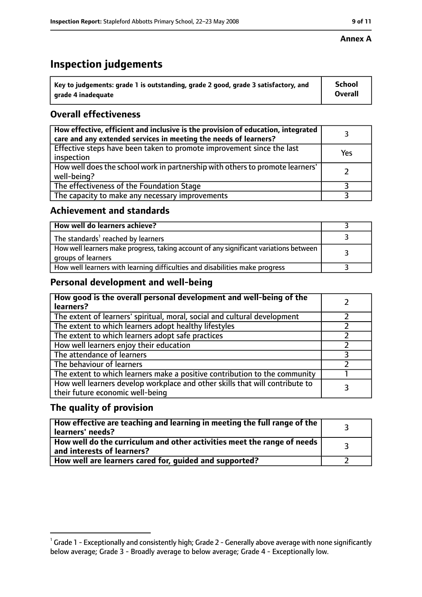# **Inspection judgements**

| $^{\backprime}$ Key to judgements: grade 1 is outstanding, grade 2 good, grade 3 satisfactory, and | <b>School</b>  |
|----------------------------------------------------------------------------------------------------|----------------|
| arade 4 inadeguate                                                                                 | <b>Overall</b> |

## **Overall effectiveness**

| How effective, efficient and inclusive is the provision of education, integrated<br>care and any extended services in meeting the needs of learners? |     |
|------------------------------------------------------------------------------------------------------------------------------------------------------|-----|
| Effective steps have been taken to promote improvement since the last<br>inspection                                                                  | Yes |
| How well does the school work in partnership with others to promote learners'<br>well-being?                                                         |     |
| The effectiveness of the Foundation Stage                                                                                                            |     |
| The capacity to make any necessary improvements                                                                                                      |     |

#### **Achievement and standards**

| How well do learners achieve?                                                                               |  |
|-------------------------------------------------------------------------------------------------------------|--|
| The standards <sup>1</sup> reached by learners                                                              |  |
| How well learners make progress, taking account of any significant variations between<br>groups of learners |  |
| How well learners with learning difficulties and disabilities make progress                                 |  |

### **Personal development and well-being**

| How good is the overall personal development and well-being of the<br>learners?                                  |  |
|------------------------------------------------------------------------------------------------------------------|--|
| The extent of learners' spiritual, moral, social and cultural development                                        |  |
| The extent to which learners adopt healthy lifestyles                                                            |  |
| The extent to which learners adopt safe practices                                                                |  |
| How well learners enjoy their education                                                                          |  |
| The attendance of learners                                                                                       |  |
| The behaviour of learners                                                                                        |  |
| The extent to which learners make a positive contribution to the community                                       |  |
| How well learners develop workplace and other skills that will contribute to<br>their future economic well-being |  |

### **The quality of provision**

| How effective are teaching and learning in meeting the full range of the<br>learners' needs?          |  |
|-------------------------------------------------------------------------------------------------------|--|
| How well do the curriculum and other activities meet the range of needs<br>and interests of learners? |  |
| How well are learners cared for, guided and supported?                                                |  |

#### **Annex A**

 $^1$  Grade 1 - Exceptionally and consistently high; Grade 2 - Generally above average with none significantly below average; Grade 3 - Broadly average to below average; Grade 4 - Exceptionally low.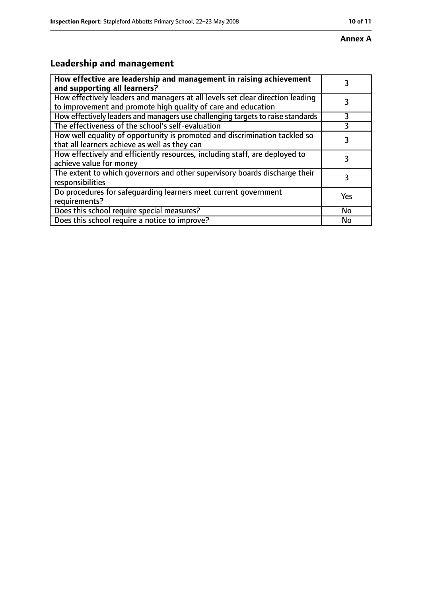# **Leadership and management**

| How effective are leadership and management in raising achievement<br>and supporting all learners?                                              | 3   |
|-------------------------------------------------------------------------------------------------------------------------------------------------|-----|
| How effectively leaders and managers at all levels set clear direction leading<br>to improvement and promote high quality of care and education |     |
| How effectively leaders and managers use challenging targets to raise standards                                                                 | 3   |
| The effectiveness of the school's self-evaluation                                                                                               |     |
| How well equality of opportunity is promoted and discrimination tackled so<br>that all learners achieve as well as they can                     | 3   |
| How effectively and efficiently resources, including staff, are deployed to<br>achieve value for money                                          | 3   |
| The extent to which governors and other supervisory boards discharge their<br>responsibilities                                                  | 3   |
| Do procedures for safequarding learners meet current government<br>requirements?                                                                | Yes |
| Does this school require special measures?                                                                                                      | No  |
| Does this school require a notice to improve?                                                                                                   | No  |